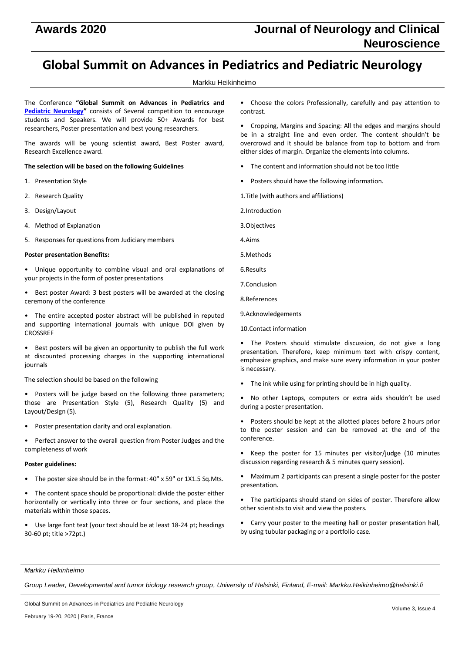# **Awards 2020 Journal of Neurology and Clinical Neuroscience**

# **Global Summit on Advances in Pediatrics and Pediatric Neurology**

# Markku Heikinheimo

The Conference **"Global Summit on Advances in Pediatrics and [Pediatric Neurology](http://pediatric-neurology.pulsusconference.com/)"** consists of Several competition to encourage students and Speakers. We will provide 50+ Awards for best researchers, Poster presentation and best young researchers.

The awards will be young scientist award, Best Poster award, Research Excellence award.

# **The selection will be based on the following Guidelines**

- 1. Presentation Style
- 2. Research Quality
- 3. Design/Layout
- 4. Method of Explanation
- 5. Responses for questions from Judiciary members

# **Poster presentation Benefits:**

• Unique opportunity to combine visual and oral explanations of your projects in the form of poster presentations

- Best poster Award: 3 best posters will be awarded at the closing ceremony of the conference
- The entire accepted poster abstract will be published in reputed and supporting international journals with unique DOI given by CROSSREF

• Best posters will be given an opportunity to publish the full work at discounted processing charges in the supporting international journals

The selection should be based on the following

- Posters will be judge based on the following three parameters; those are Presentation Style (5), Research Quality (5) and Layout/Design (5).
- Poster presentation clarity and oral explanation.
- Perfect answer to the overall question from Poster Judges and the completeness of work

# **Poster guidelines:**

• The poster size should be in the format: 40" x 59" or 1X1.5 Sq.Mts.

• The content space should be proportional: divide the poster either horizontally or vertically into three or four sections, and place the materials within those spaces.

• Use large font text (your text should be at least 18-24 pt; headings 30-60 pt; title >72pt.)

• Choose the colors Professionally, carefully and pay attention to contrast.

• Cropping, Margins and Spacing: All the edges and margins should be in a straight line and even order. The content shouldn't be overcrowd and it should be balance from top to bottom and from either sides of margin. Organize the elements into columns.

- The content and information should not be too little
- Posters should have the following information.
- 1.Title (with authors and affiliations)

2.Introduction

- 3.Objectives
- 4.Aims
- 5.Methods
- 6.Results
- 7.Conclusion
- 8.References
- 9.Acknowledgements
- 10.Contact information

• The Posters should stimulate discussion, do not give a long presentation. Therefore, keep minimum text with crispy content, emphasize graphics, and make sure every information in your poster is necessary.

The ink while using for printing should be in high quality.

• No other Laptops, computers or extra aids shouldn't be used during a poster presentation.

• Posters should be kept at the allotted places before 2 hours prior to the poster session and can be removed at the end of the conference.

- Keep the poster for 15 minutes per visitor/judge (10 minutes discussion regarding research & 5 minutes query session).
- Maximum 2 participants can present a single poster for the poster presentation.
- The participants should stand on sides of poster. Therefore allow other scientists to visit and view the posters.
- Carry your poster to the meeting hall or poster presentation hall, by using tubular packaging or a portfolio case.

#### *Markku Heikinheimo*

*Group Leader, Developmental and tumor biology research group, University of Helsinki, Finland, E-mail: Markku.Heikinheimo@helsinki.fi*

Global Summit on Advances in Pediatrics and Pediatric Neurology